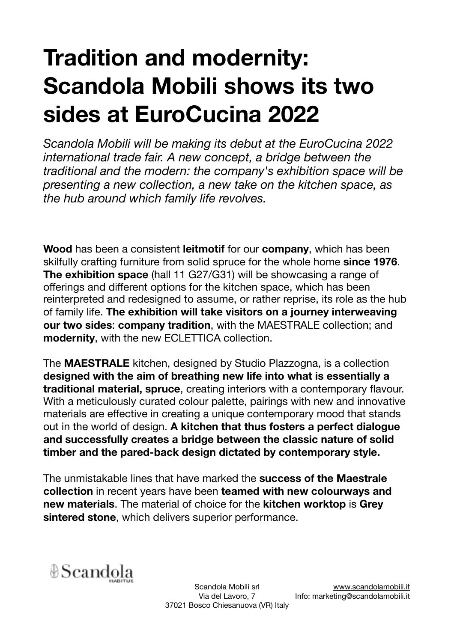## **Tradition and modernity: Scandola Mobili shows its two sides at EuroCucina 2022**

*Scandola Mobili will be making its debut at the EuroCucina 2022 international trade fair. A new concept, a bridge between the traditional and the modern: the company's exhibition space will be presenting a new collection, a new take on the kitchen space, as the hub around which family life revolves.* 

**Wood** has been a consistent **leitmotif** for our **company**, which has been skilfully crafting furniture from solid spruce for the whole home **since 1976**. **The exhibition space** (hall 11 G27/G31) will be showcasing a range of offerings and different options for the kitchen space, which has been reinterpreted and redesigned to assume, or rather reprise, its role as the hub of family life. **The exhibition will take visitors on a journey interweaving our two sides**: **company tradition**, with the MAESTRALE collection; and **modernity**, with the new ECLETTICA collection.

The **MAESTRALE** kitchen, designed by Studio Plazzogna, is a collection **designed with the aim of breathing new life into what is essentially a traditional material, spruce**, creating interiors with a contemporary flavour. With a meticulously curated colour palette, pairings with new and innovative materials are effective in creating a unique contemporary mood that stands out in the world of design. **A kitchen that thus fosters a perfect dialogue and successfully creates a bridge between the classic nature of solid timber and the pared-back design dictated by contemporary style.** 

The unmistakable lines that have marked the **success of the Maestrale collection** in recent years have been **teamed with new colourways and new materials**. The material of choice for the **kitchen worktop** is **Grey sintered stone**, which delivers superior performance.

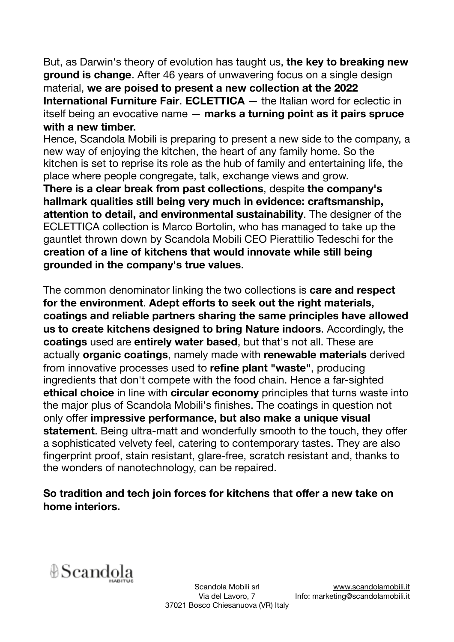But, as Darwin's theory of evolution has taught us, **the key to breaking new ground is change**. After 46 years of unwavering focus on a single design material, **we are poised to present a new collection at the 2022 International Furniture Fair**. **ECLETTICA** — the Italian word for eclectic in itself being an evocative name — **marks a turning point as it pairs spruce with a new timber.** 

Hence, Scandola Mobili is preparing to present a new side to the company, a new way of enjoying the kitchen, the heart of any family home. So the kitchen is set to reprise its role as the hub of family and entertaining life, the place where people congregate, talk, exchange views and grow.

**There is a clear break from past collections**, despite **the company's hallmark qualities still being very much in evidence: craftsmanship, attention to detail, and environmental sustainability**. The designer of the ECLETTICA collection is Marco Bortolin, who has managed to take up the gauntlet thrown down by Scandola Mobili CEO Pierattilio Tedeschi for the **creation of a line of kitchens that would innovate while still being grounded in the company's true values**.

The common denominator linking the two collections is **care and respect for the environment**. **Adept efforts to seek out the right materials, coatings and reliable partners sharing the same principles have allowed us to create kitchens designed to bring Nature indoors**. Accordingly, the **coatings** used are **entirely water based**, but that's not all. These are actually **organic coatings**, namely made with **renewable materials** derived from innovative processes used to **refine plant "waste"**, producing ingredients that don't compete with the food chain. Hence a far-sighted **ethical choice** in line with **circular economy** principles that turns waste into the major plus of Scandola Mobili's finishes. The coatings in question not only offer **impressive performance, but also make a unique visual statement**. Being ultra-matt and wonderfully smooth to the touch, they offer a sophisticated velvety feel, catering to contemporary tastes. They are also fingerprint proof, stain resistant, glare-free, scratch resistant and, thanks to the wonders of nanotechnology, can be repaired.

## **So tradition and tech join forces for kitchens that offer a new take on home interiors.**